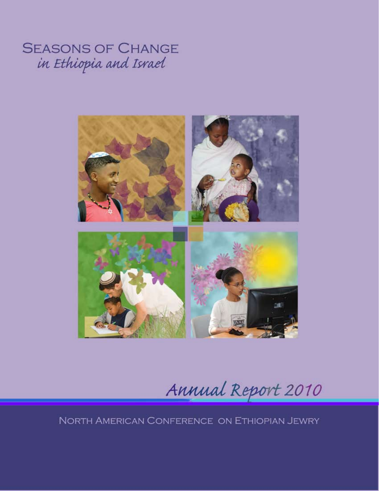**SEASONS OF CHANGE** in Ethiopia and Israel



Annual Report 2010

NORTH AMERICAN CONFERENCE ON ETHIOPIAN JEWRY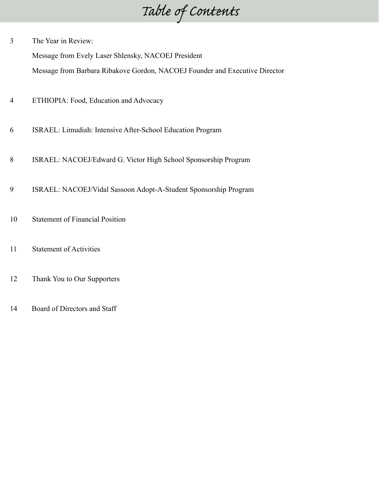*Table of Contents*

3 The Year in Review:

Message from Evely Laser Shlensky, NACOEJ President

Message from Barbara Ribakove Gordon, NACOEJ Founder and Executive Director

- 4 ETHIOPIA: Food, Education and Advocacy
- 6 ISRAEL: Limudiah: Intensive After-School Education Program
- 8 ISRAEL: NACOEJ/Edward G. Victor High School Sponsorship Program
- 9 ISRAEL: NACOEJ/Vidal Sassoon Adopt-A-Student Sponsorship Program
- 10 Statement of Financial Position
- 11 Statement of Activities
- 12 Thank You to Our Supporters
- 14 Board of Directors and Staff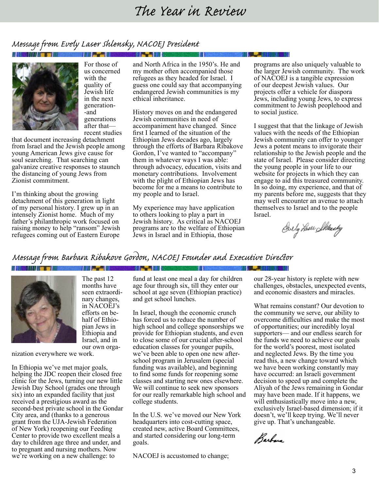### *The Year in Review*

### *Message from Evely Laser Shlensky, NACOEJ President*



For those of us concerned with the quality of Jewish life in the next generation- -and generations after that recent studies

that document increasing detachment from Israel and the Jewish people among young American Jews give cause for soul searching. That searching can galvanize creative responses to staunch the distancing of young Jews from Zionist commitment.

I'm thinking about the growing detachment of this generation in light of my personal history. I grew up in an intensely Zionist home. Much of my father's philanthropic work focused on raising money to help "ransom" Jewish refugees coming out of Eastern Europe

and North Africa in the 1950's. He and my mother often accompanied those refugees as they headed for Israel. I guess one could say that accompanying endangered Jewish communities is my ethical inheritance.

History moves on and the endangered Jewish communities in need of accompaniment have changed. Since first I learned of the situation of the Ethiopian Jews decades ago, largely through the efforts of Barbara Ribakove Gordon, I've wanted to "accompany" them in whatever ways I was able: through advocacy, education, visits and monetary contributions. Involvement with the plight of Ethiopian Jews has become for me a means to contribute to my people and to Israel.

My experience may have application to others looking to play a part in Jewish history. As critical as NACOEJ programs are to the welfare of Ethiopian Jews in Israel and in Ethiopia, those

programs are also uniquely valuable to the larger Jewish community. The work of NACOEJ is a tangible expression of our deepest Jewish values. Our projects offer a vehicle for diaspora Jews, including young Jews, to express commitment to Jewish peoplehood and to social justice.

I suggest that that the linkage of Jewish values with the needs of the Ethiopian Jewish community can offer to younger Jews a potent means to invigorate their relationship to the Jewish people and the state of Israel. Please consider directing the young people in your life to our website for projects in which they can engage to aid this treasured community. In so doing, my experience, and that of my parents before me, suggests that they may well encounter an avenue to attach themselves to Israel and to the people Israel.

Ovely Laser Sklearby

### *Message from Barbara Ribakove Gordon, NACOEJ Founder and Executive Director*

**SHATE IN A** 

#### **Martin Mar**



The past 12 months have seen extraordinary changes, in NACOEJ's efforts on behalf of Ethiopian Jews in Ethiopia and Israel, and in our own orga-

nization everywhere we work.

In Ethiopia we've met major goals, helping the JDC reopen their closed free clinic for the Jews, turning our new little Jewish Day School (grades one through six) into an expanded facility that just received a prestigious award as the second-best private school in the Gondar City area, and (thanks to a generous grant from the UJA-Jewish Federation of New York) reopening our Feeding Center to provide two excellent meals a day to children age three and under, and to pregnant and nursing mothers. Now we're working on a new challenge: to

fund at least one meal a day for children age four through six, till they enter our school at age seven (Ethiopian practice) and get school lunches.

In Israel, though the economic crunch has forced us to reduce the number of high school and college sponsorships we provide for Ethiopian students, and even to close some of our crucial after-school education classes for younger pupils, we've been able to open one new afterschool program in Jerusalem (special funding was available), and beginning to find some funds for reopening some classes and starting new ones elsewhere. We will continue to seek new sponsors for our really remarkable high school and college students.

In the U.S. we've moved our New York headquarters into cost-cutting space, created new, active Board Committees, and started considering our long-term goals.

NACOEJ is accustomed to change;

our 28-year history is replete with new challenges, obstacles, unexpected events, and economic disasters and miracles.

What remains constant? Our devotion to the community we serve, our ability to overcome difficulties and make the most of opportunities; our incredibly loyal supporters— and our endless search for the funds we need to achieve our goals for the world's poorest, most isolated and neglected Jews. By the time you read this, a new change toward which we have been working constantly may have occurred: an Israeli government decision to speed up and complete the Aliyah of the Jews remaining in Gondar may have been made. If it happens, we will enthusiastically move into a new, exclusively Israel-based dimension; if it doesn't, we'll keep trying. We'll never give up. That's unchangeable.

Barbara

**A BRIDGE**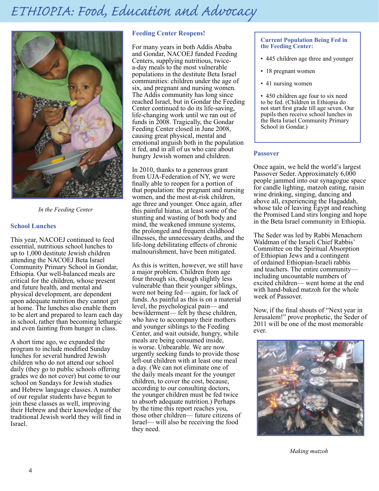### *ETHIOPIA: Food, Education and Advocacy ETHIOPIA: Food, Education and Advocacy*



*In the Feeding Center*

#### **School Lunches**

This year, NACOEJ continued to feed essential, nutritious school lunches to up to 1,000 destitute Jewish children attending the NACOEJ Beta Israel Community Primary School in Gondar, Ethiopia. Our well-balanced meals are critical for the children, whose present and future health, and mental and physical development, are dependent upon adequate nutrition they cannot get at home. The lunches also enable them to be alert and prepared to learn each day in school, rather than becoming lethargic and even fainting from hunger in class.

A short time ago, we expanded the program to include modified Sunday lunches for several hundred Jewish children who do not attend our school daily (they go to public schools offering grades we do not cover) but come to our school on Sundays for Jewish studies and Hebrew language classes. A number of our regular students have begun to join these classes as well, improving their Hebrew and their knowledge of the traditional Jewish world they will find in Israel.

#### **Feeding Center Reopens!**

For many years in both Addis Ababa and Gondar, NACOEJ funded Feeding Centers, supplying nutritious, twicea-day meals to the most vulnerable populations in the destitute Beta Israel communities: children under the age of six, and pregnant and nursing women. The Addis community has long since reached Israel, but in Gondar the Feeding Center continued to do its life-saving, life-changing work until we ran out of funds in 2008. Tragically, the Gondar Feeding Center closed in June 2008, causing great physical, mental and emotional anguish both in the population it fed, and in all of us who care about hungry Jewish women and children.

In 2010, thanks to a generous grant from UJA-Federation of NY, we were finally able to reopen for a portion of that population: the pregnant and nursing women, and the most at-risk children, age three and younger. Once again, after this painful hiatus, at least some of the stunting and wasting of both body and mind, the weakened immune systems, the prolonged and frequent childhood illnesses, the unnecessary deaths, and the life-long debilitating effects of chronic malnourishment, have been mitigated.

As this is written, however, we still have a major problem. Children from age four through six, though slightly less vulnerable than their younger siblings, were not being fed— again, for lack of funds. As painful as this is on a material level, the psychological pain— and bewilderment— felt by these children, who have to accompany their mothers and younger siblings to the Feeding Center, and wait outside, hungry, while meals are being consumed inside, is worse. Unbearable. We are now urgently seeking funds to provide those left-out children with at least one meal a day. (We can not eliminate one of the daily meals meant for the younger children, to cover the cost, because, according to our consulting doctors, the younger children must be fed twice to absorb adequate nutrition.) Perhaps by the time this report reaches you, those other children— future citizens of Israel— will also be receiving the food they need.

#### **Current Population Being Fed in the Feeding Center:**

- 445 children age three and younger
- 18 pregnant women
- 41 nursing women

• 450 children age four to six need to be fed. (Children in Ethiopia do not start first grade till age seven. Our pupils then receive school lunches in the Beta Israel Community Primary School in Gondar.)

#### **Passover**

Once again, we held the world's largest Passover Seder. Approximately 6,000 people jammed into our synagogue space for candle lighting, matzoh eating, raisin wine drinking, singing, dancing and above all, experiencing the Hagaddah, whose tale of leaving Egypt and reaching the Promised Land stirs longing and hope in the Beta Israel community in Ethiopia.

The Seder was led by Rabbi Menachem Waldman of the Israeli Chief Rabbis' Committee on the Spiritual Absorption of Ethiopian Jews and a contingent of ordained Ethiopian-Israeli rabbis and teachers. The entire community including uncountable numbers of excited children— went home at the end with hand-baked matzoh for the whole week of Passover.

Now, if the final shouts of "Next year in Jerusalem!" prove prophetic, the Seder of 2011 will be one of the most memorable ever.



*Making matzoh*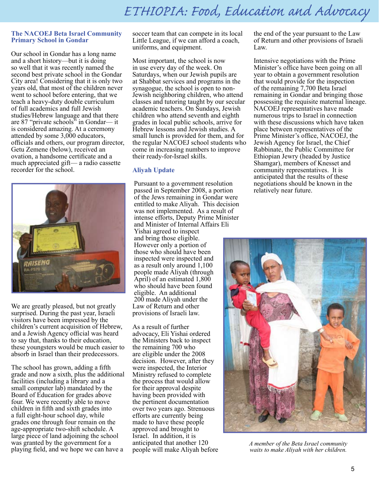#### **The NACOEJ Beta Israel Community Primary School in Gondar**

Our school in Gondar has a long name and a short history—but it is doing so well that it was recently named the second best private school in the Gondar City area! Considering that it is only two years old, that most of the children never went to school before entering, that we teach a heavy-duty double curriculum of full academics and full Jewish studies/Hebrew language and that there are 87 "private schools" in Gondar— it is considered amazing. At a ceremony attended by some 3,000 educators, officials and others, our program director, Getu Zemene (below), received an ovation, a handsome certificate and a much appreciated gift— a radio cassette recorder for the school.



We are greatly pleased, but not greatly surprised. During the past year, Israeli visitors have been impressed by the children's current acquisition of Hebrew, and a Jewish Agency official was heard to say that, thanks to their education, these youngsters would be much easier to absorb in Israel than their predecessors.

The school has grown, adding a fifth grade and now a sixth, plus the additional facilities (including a library and a small computer lab) mandated by the Board of Education for grades above four. We were recently able to move children in fifth and sixth grades into a full eight-hour school day, while grades one through four remain on the age-appropriate two-shift schedule. A large piece of land adjoining the school was granted by the government for a playing field, and we hope we can have a

soccer team that can compete in its local Little League, if we can afford a coach, uniforms, and equipment.

Most important, the school is now in use every day of the week. On Saturdays, when our Jewish pupils are at Shabbat services and programs in the synagogue, the school is open to non-Jewish neighboring children, who attend classes and tutoring taught by our secular academic teachers. On Sundays, Jewish children who attend seventh and eighth grades in local public schools, arrive for Hebrew lessons and Jewish studies. A small lunch is provided for them, and for the regular NACOEJ school students who come in increasing numbers to improve their ready-for-Israel skills.

#### **Aliyah Update**

Pursuant to a government resolution passed in September 2008, a portion of the Jews remaining in Gondar were entitled to make Aliyah. This decision was not implemented. As a result of intense efforts, Deputy Prime Minister and Minister of Internal Affairs Eli Yishai agreed to inspect However only a portion of those who should have been inspected were inspected and as a result only around 1,100 people made Aliyah (through April) of an estimated 1,800 who should have been found eligible. An additional 200 made Aliyah under the Law of Return and other provisions of Israeli law.

As a result of further advocacy, Eli Yishai ordered the Ministers back to inspect the remaining 700 who are eligible under the 2008 decision. However, after they were inspected, the Interior Ministry refused to complete the process that would allow for their approval despite having been provided with the pertinent documentation over two years ago. Strenuous efforts are currently being made to have these people approved and brought to Israel. In addition, it is anticipated that another 120 people will make Aliyah before the end of the year pursuant to the Law of Return and other provisions of Israeli Law.

Intensive negotiations with the Prime Minister's office have been going on all year to obtain a government resolution that would provide for the inspection of the remaining 7,700 Beta Israel remaining in Gondar and bringing those possessing the requisite maternal lineage. NACOEJ representatives have made numerous trips to Israel in connection with these discussions which have taken place between representatives of the Prime Minister's office, NACOEJ, the Jewish Agency for Israel, the Chief Rabbinate, the Public Committee for Ethiopian Jewry (headed by Justice Shamgar), members of Knesset and community representatives. It is anticipated that the results of these negotiations should be known in the relatively near future.



*A member of the Beta Israel community waits to make Aliyah with her children.*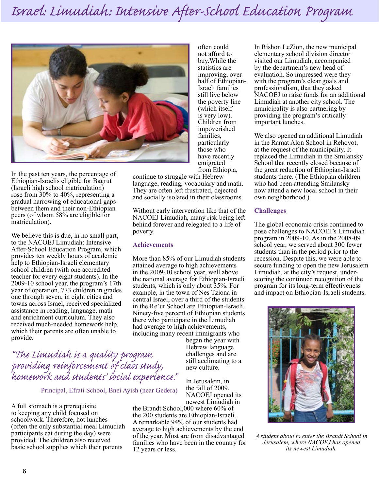

often could not afford to buy.While the statistics are improving, over half of Ethiopian-Israeli families still live below the poverty line (which itself is very low). Children from impoverished families, particularly those who have recently emigrated from Ethiopia,

In the past ten years, the percentage of Ethiopian-Israelis eligible for Bagrut (Israeli high school matriculation) rose from 30% to 40%, representing a gradual narrowing of educational gaps between them and their non-Ethiopian peers (of whom 58% are eligible for matriculation).

We believe this is due, in no small part, to the NACOEJ Limudiah: Intensive After-School Education Program, which provides ten weekly hours of academic help to Ethiopian-Israeli elementary school children (with one accredited teacher for every eight students). In the 2009-10 school year, the program's 17th year of operation, 773 children in grades one through seven, in eight cities and towns across Israel, received specialized assistance in reading, language, math and enrichment curriculum. They also received much-needed homework help, which their parents are often unable to provide.

continue to struggle with Hebrew language, reading, vocabulary and math. They are often left frustrated, dejected and socially isolated in their classrooms.

Without early intervention like that of the NACOEJ Limudiah, many risk being left behind forever and relegated to a life of poverty.

#### **Achievements**

More than 85% of our Limudiah students attained average to high achievements in the 2009-10 school year, well above the national average for Ethiopian-Israeli students, which is only about 35%. For example, in the town of Nes Tziona in central Israel, over a third of the students in the Re'ut School are Ethiopian-Israeli. Ninety-five percent of Ethiopian students there who participate in the Limudiah had average to high achievements, including many recent immigrants who

> began the year with Hebrew language challenges and are still acclimating to a new culture.

In Jerusalem, in the fall of 2009, NACOEJ opened its newest Limudiah in

the Brandt School,000 where 60% of the 200 students are Ethiopian-Israeli. A remarkable 94% of our students had average to high achievements by the end of the year. Most are from disadvantaged families who have been in the country for 12 years or less.

In Rishon LeZion, the new municipal elementary school division director visited our Limudiah, accompanied by the department's new head of evaluation. So impressed were they with the program's clear goals and professionalism, that they asked NACOEJ to raise funds for an additional Limudiah at another city school. The municipality is also partnering by providing the program's critically important lunches.

We also opened an additional Limudiah in the Ramat Alon School in Rehovot, at the request of the municipality. It replaced the Limudiah in the Smilansky School that recently closed because of the great reduction of Ethiopian-Israeli students there. (The Ethiopian children who had been attending Smilansky now attend a new local school in their own neighborhood.)

#### **Challenges**

The global economic crisis continued to pose challenges to NACOEJ's Limudiah program in 2009-10. As in the 2008-09 school year, we served about 300 fewer students than in the period prior to the recession. Despite this, we were able to secure funding to open the new Jerusalem Limudiah, at the city's request, underscoring the continued recognition of the program for its long-term effectiveness and impact on Ethiopian-Israeli students.



*A student about to enter the Brandt School in Jerusalem, where NACOEJ has opened its newest Limudiah.*

*"The Limudiah is a quality program providing reinforcement of class study, homework and students' social experience."* 

Principal, Efrati School, Bnei Ayish (near Gedera)

A full stomach is a prerequisite to keeping any child focused on schoolwork. Therefore, hot lunches (often the only substantial meal Limudiah participants eat during the day) were provided. The children also received basic school supplies which their parents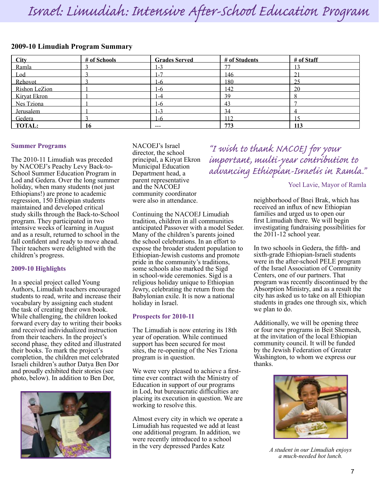*Israel: Limudiah: Intensive After-School Education Program Israel: Limudiah: Intensive After-School Education Program*

#### **2009-10 Limudiah Program Summary**

| City          | # of Schools | <b>Grades Served</b> | # of Students | # of Staff  |
|---------------|--------------|----------------------|---------------|-------------|
| Ramla         |              | $-3$                 | 77            |             |
| Lod           |              | . - 7                | 146           | $^{\sim}$ 1 |
| Rehovot       |              | $-6$                 | 180           | 25          |
| Rishon LeZion |              | $-6$                 | 142           | 20          |
| Kiryat Ekron  |              | -4                   | 39            |             |
| Nes Tziona    |              | $-6$                 | 43            |             |
| Jerusalem     |              | $-3$                 | 34            |             |
| Gedera        |              | $-6$                 | 112           |             |
| <b>TOTAL:</b> | 16           | $- - -$              | 773           | 113         |

#### **Summer Programs**

The 2010-11 Limudiah was preceded by NACOEJ's Peachy Levy Back-to-School Summer Education Program in Lod and Gedera. Over the long summer holiday, when many students (not just Ethiopians!) are prone to academic regression, 150 Ethiopian students maintained and developed critical study skills through the Back-to-School program. They participated in two intensive weeks of learning in August and as a result, returned to school in the fall confident and ready to move ahead. Their teachers were delighted with the children's progress.

#### **2009-10 Highlights**

In a special project called Young Authors, Limudiah teachers encouraged students to read, write and increase their vocabulary by assigning each student the task of creating their own book. While challenging, the children looked forward every day to writing their books and received individualized instruction from their teachers. In the project's second phase, they edited and illustrated their books. To mark the project's completion, the children met celebrated Israeli children's author Datya Ben Dor and proudly exhibited their stories (see photo, below). In addition to Ben Dor,



NACOEJ's Israel director, the school principal, a Kiryat Ekron Municipal Education Department head, a parent representative and the NACOEJ community coordinator were also in attendance.

Continuing the NACOEJ Limudiah tradition, children in all communities anticipated Passover with a model Seder. Many of the children's parents joined the school celebrations. In an effort to expose the broader student population to Ethiopian-Jewish customs and promote pride in the community's traditions, some schools also marked the Sigd in school-wide ceremonies. Sigd is a religious holiday unique to Ethiopian Jewry, celebrating the return from the Babylonian exile. It is now a national holiday in Israel.

#### **Prospects for 2010-11**

The Limudiah is now entering its 18th year of operation. While continued support has been secured for most sites, the re-opening of the Nes Tziona program is in question.

We were very pleased to achieve a firsttime ever contract with the Ministry of Education in support of our programs in Lod, but bureaucratic difficulties are placing its execution in question. We are working to resolve this.

Almost every city in which we operate a Limudiah has requested we add at least one additional program. In addition, we were recently introduced to a school in the very depressed Pardes Katz

*"I wish to thank NACOEJ for your important, multi-year contribution to advancing Ethiopian-Israelis in Ramla."*

#### Yoel Lavie, Mayor of Ramla

neighborhood of Bnei Brak, which has received an influx of new Ethiopian families and urged us to open our first Limudiah there. We will begin investigating fundraising possibilities for the 2011-12 school year.

In two schools in Gedera, the fifth- and sixth-grade Ethiopian-Israeli students were in the after-school PELE program of the Israel Association of Community Centers, one of our partners. That program was recently discontinued by the Absorption Ministry, and as a result the city has asked us to take on all Ethiopian students in grades one through six, which we plan to do.

Additionally, we will be opening three or four new programs in Beit Shemesh, at the invitation of the local Ethiopian community council. It will be funded by the Jewish Federation of Greater Washington, to whom we express our thanks.



*A student in our Limudiah enjoys a much-needed hot lunch.*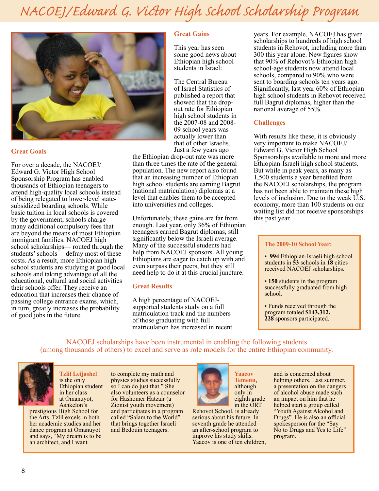# *NACOEJ/Edward G. Victor High School Scholarship Program*



#### **Great Goals**

For over a decade, the NACOEJ/ Edward G. Victor High School Sponsorship Program has enabled thousands of Ethiopian teenagers to attend high-quality local schools instead of being relegated to lower-level statesubsidized boarding schools. While basic tuition in local schools is covered by the government, schools charge many additional compulsory fees that are beyond the means of most Ethiopian immigrant families. NACOEJ high school scholarships— routed through the students'schools— defray most of these costs. As a result, more Ethiopian high school students are studying at good local schools and taking advantage of all the educational, cultural and social activities their schools offer. They receive an education that increases their chance of passing college entrance exams, which, in turn, greatly increases the probability of good jobs in the future.

#### **Great Gains**

This year has seen some good news about Ethiopian high school students in Israel:

The Central Bureau of Israel Statistics of published a report that showed that the dropout rate for Ethiopian high school students in the 2007-08 and 2008- 09 school years was actually lower than that of other Israelis. Just a few years ago

the Ethiopian drop-out rate was more than three times the rate of the general population. The new report also found that an increasing number of Ethiopian high school students are earning Bagrut (national matriculation) diplomas at a level that enables them to be accepted into universities and colleges.

Unfortunately, these gains are far from enough. Last year, only 36% of Ethiopian teenagers earned Bagrut diplomas, still significantly below the Israeli average. Many of the successful students had help from NACOEJ sponsors. All young Ethiopians are eager to catch up with and even surpass their peers, but they still need help to do it at this crucial juncture.

#### **Great Results**

A high percentage of NACOEJsupported students study on a full matriculation track and the numbers of those graduating with full matriculation has increased in recent years. For example, NACOEJ has given scholarships to hundreds of high school students in Rehovot, including more than 300 this year alone. New figures show that 90% of Rehovot's Ethiopian high school-age students now attend local schools, compared to 90% who were sent to boarding schools ten years ago. Significantly, last year 60% of Ethiopian high school students in Rehovot received full Bagrut diplomas, higher than the national average of 55%.

#### **Challenges**

With results like these, it is obviously very important to make NACOEJ/ Edward G. Victor High School Sponsorships available to more and more Ethiopian-Israeli high school students. But while in peak years, as many as 1,500 students a year benefited from the NACOEJ scholarships, the program has not been able to maintain these high levels of inclusion. Due to the weak U.S. economy, more than 100 students on our waiting list did not receive sponsorships this past year.

#### **The 2009-10 School Year:**

• **994** Ethiopian-Israeli high school students in **53** schools in **18** cities received NACOEJ scholarships.

• **150** students in the program successfully graduated from high school.

• Funds received through the program totaled **\$143,312. 228** sponsors participated.

NACOEJ scholarships have been instrumental in enabling the following students (among thousands of others) to excel and serve as role models for the entire Ethiopian community.



**Tzlil Leijashel** is the only Ethiopian student in her class at Omanuyot, Ashkelon's

prestigious High School for the Arts. Tzlil excels in both her academic studies and her dance program at Omanuyot and says, "My dream is to be an architect, and I want

to complete my math and physics studies successfully so I can do just that." She also volunteers as a counselor for Hashomer Hatzair (a Zionist youth movement) and participates in a program called "Salam to the World" that brings together Israeli and Bedouin teenagers.



**Yaacov Temenu**, although only in eighth grade in the ORT

Rehovot School, is already serious about his future. In seventh grade he attended an after-school program to improve his study skills. Yaacov is one of ten children,

and is concerned about helping others. Last summer, a presentation on the dangers of alcohol abuse made such an impact on him that he helped start a group called "Youth Against Alcohol and Drugs". He is also an official spokesperson for the "Say No to Drugs and Yes to Life" program.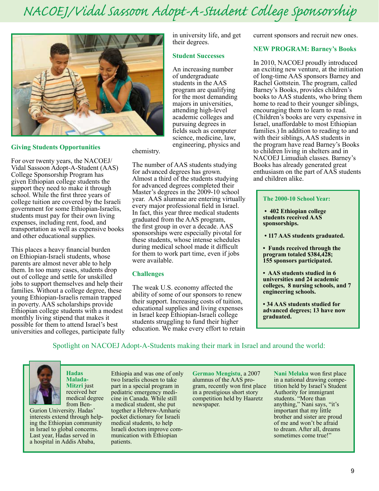# *NACOEJ/Vidal Sassoon Adopt-A-Student College Sponsorship*

their degrees.

**Student Successes** 

An increasing number of undergraduate students in the AAS program are qualifying for the most demanding majors in universities, attending high-level academic colleges and pursuing degrees in fields such as computer science, medicine, law, engineering, physics and

in university life, and get



#### **Giving Students Opportunities**

For over twenty years, the NACOEJ/ Vidal Sassoon Adopt-A-Student (AAS) College Sponsorship Program has given Ethiopian college students the support they need to make it through school. While the first three years of college tuition are covered by the Israeli government for some Ethiopian-Israelis, students must pay for their own living expenses, including rent, food, and transportation as well as expensive books and other educational supplies.

This places a heavy financial burden on Ethiopian-Israeli students, whose parents are almost never able to help them. In too many cases, students drop out of college and settle for unskilled jobs to support themselves and help their families. Without a college degree, these young Ethiopian-Israelis remain trapped in poverty. AAS scholarships provide Ethiopian college students with a modest monthly living stipend that makes it possible for them to attend Israel's best universities and colleges, participate fully chemistry.

The number of AAS students studying for advanced degrees has grown. Almost a third of the students studying for advanced degrees completed their Master's degrees in the 2009-10 school year. AAS alumnae are entering virtually every major professional field in Israel. In fact, this year three medical students graduated from the AAS program, the first group in over a decade. AAS sponsorships were especially pivotal for these students, whose intense schedules during medical school made it difficult for them to work part time, even if jobs were available.

#### **Challenges**

The weak U.S. economy affected the ability of some of our sponsors to renew their support. Increasing costs of tuition, educational supplies and living expenses in Israel keep Ethiopian-Israeli college students struggling to fund their higher education. We make every effort to retain current sponsors and recruit new ones.

#### **NEW PROGRAM: Barney's Books**

In 2010, NACOEJ proudly introduced an exciting new venture, at the initiation of long-time AAS sponsors Barney and Rachel Gottstein. The program, called Barney's Books, provides children's books to AAS students, who bring them home to read to their younger siblings, encouraging them to learn to read. (Children's books are very expensive in Israel, unaffordable to most Ethiopian families.) In addition to reading to and with their siblings, AAS students in the program have read Barney's Books to children living in shelters and in NACOEJ Limudiah classes. Barney's Books has already generated great enthusiasm on the part of AAS students and children alike.

#### **The 2000-10 School Year:**

**• 402 Ethiopian college students received AAS sponsorships.**

 **• 117 AAS students graduated.** 

- **Funds received through the program totaled \$384,428; 155 sponsors participated.**
- **AAS students studied in 6 universities and 24 academic colleges, 8 nursing schools, and 7 engineering schools.**

**• 34 AAS students studied for advanced degrees; 13 have now graduated.** 

#### Spotlight on NACOEJ Adopt-A-Students making their mark in Israel and around the world:



**Hadas Malada-Mitzri** just received her medical degree from Ben-

Gurion University. Hadas' interests extend through helping the Ethiopian community in Israel to global concerns. Last year, Hadas served in a hospital in Addis Ababa,

Ethiopia and was one of only two Israelis chosen to take part in a special program in pediatric emergency medicine in Canada. While still a medical student, she put together a Hebrew-Amharic pocket dictionary for Israeli medical students, to help Israeli doctors improve communication with Ethiopian patients.

**Germao Mengistu**, a 2007 alumnus of the AAS program, recently won first place in a prestigious short story competition held by Haaretz newspaper.

**Nani Melaku** won first place in a national drawing competition held by Israel's Student Authority for immigrant students. "More than anything," Nani says, "it's important that my little brother and sister are proud of me and won't be afraid to dream. After all, dreams sometimes come true!"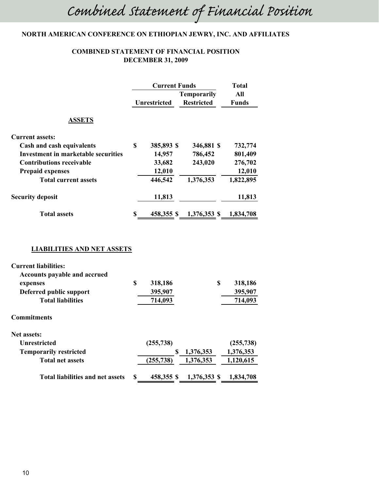# *Combined Statement of Financial Position*

#### NORTH AMERICAN CONFERENCE ON ETHIOPIAN JEWRY, INC. AND AFFILIATES

#### **COMBINED STATEMENT OF FINANCIAL POSITION DECEMBER 31, 2009**

|                                            | <b>Current Funds</b> |            | <b>Total</b>                            |                     |
|--------------------------------------------|----------------------|------------|-----------------------------------------|---------------------|
|                                            | <b>Unrestricted</b>  |            | <b>Temporarily</b><br><b>Restricted</b> | All<br><b>Funds</b> |
| <b>ASSETS</b>                              |                      |            |                                         |                     |
| <b>Current assets:</b>                     |                      |            |                                         |                     |
| Cash and cash equivalents                  | \$                   | 385,893 \$ | 346,881 \$                              | 732,774             |
| <b>Investment in marketable securities</b> |                      | 14,957     | 786,452                                 | 801,409             |
| <b>Contributions receivable</b>            |                      | 33,682     | 243,020                                 | 276,702             |
| <b>Prepaid expenses</b>                    |                      | 12,010     |                                         | 12,010              |
| <b>Total current assets</b>                |                      | 446,542    | 1,376,353                               | 1,822,895           |
| <b>Security deposit</b>                    |                      | 11,813     |                                         | 11,813              |
| <b>Total assets</b>                        | S                    |            | 458,355 \$ 1,376,353 \$ 1,834,708       |                     |
| <b>LIABILITIES AND NET ASSETS</b>          |                      |            |                                         |                     |
|                                            |                      |            |                                         |                     |
| <b>Current liabilities:</b>                |                      |            |                                         |                     |
| <b>Accounts payable and accrued</b>        |                      |            |                                         |                     |

| expenses                                | \$ | 318,186    | S            | 318,186    |
|-----------------------------------------|----|------------|--------------|------------|
| Deferred public support                 |    | 395,907    |              | 395,907    |
| <b>Total liabilities</b>                |    | 714,093    |              | 714,093    |
| Commitments                             |    |            |              |            |
| <b>Net assets:</b>                      |    |            |              |            |
| Unrestricted                            |    | (255, 738) |              | (255, 738) |
| <b>Temporarily restricted</b>           |    | S          | 1,376,353    | 1,376,353  |
| <b>Total net assets</b>                 |    | (255, 738) | 1,376,353    | 1,120,615  |
| <b>Total liabilities and net assets</b> | S  | 458,355 \$ | 1,376,353 \$ | 1,834,708  |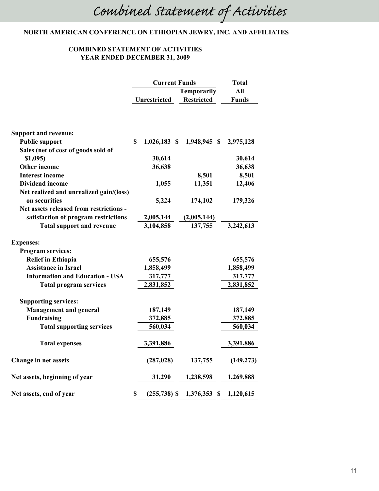### NORTH AMERICAN CONFERENCE ON ETHIOPIAN JEWRY, INC. AND AFFILIATES

#### **COMBINED STATEMENT OF ACTIVITIES** YEAR ENDED DECEMBER 31, 2009

|                                         | <b>Current Funds</b><br><b>Temporarily</b> |                     | <b>Total</b> |                             |              |
|-----------------------------------------|--------------------------------------------|---------------------|--------------|-----------------------------|--------------|
|                                         |                                            |                     |              | All                         |              |
|                                         |                                            | <b>Unrestricted</b> |              | <b>Restricted</b>           | <b>Funds</b> |
|                                         |                                            |                     |              |                             |              |
| <b>Support and revenue:</b>             |                                            |                     |              |                             |              |
| <b>Public support</b>                   | $\mathbf S$                                | $1,026,183$ \$      |              | 1,948,945 \$                | 2,975,128    |
| Sales (net of cost of goods sold of     |                                            |                     |              |                             |              |
| $$1,095$ )                              |                                            | 30,614              |              |                             | 30,614       |
| Other income                            |                                            | 36,638              |              |                             | 36,638       |
| <b>Interest income</b>                  |                                            |                     |              | 8,501                       | 8,501        |
| <b>Dividend income</b>                  |                                            | 1,055               |              | 11,351                      | 12,406       |
| Net realized and unrealized gain/(loss) |                                            |                     |              |                             |              |
| on securities                           |                                            | 5,224               |              | 174,102                     | 179,326      |
| Net assets released from restrictions - |                                            |                     |              |                             |              |
| satisfaction of program restrictions    |                                            | 2,005,144           |              | (2,005,144)                 |              |
| <b>Total support and revenue</b>        |                                            | 3,104,858           |              | 137,755                     | 3,242,613    |
| <b>Expenses:</b>                        |                                            |                     |              |                             |              |
| <b>Program services:</b>                |                                            |                     |              |                             |              |
| <b>Relief in Ethiopia</b>               |                                            | 655,576             |              |                             | 655,576      |
| <b>Assistance in Israel</b>             |                                            | 1,858,499           |              |                             | 1,858,499    |
| <b>Information and Education - USA</b>  |                                            | 317,777             |              |                             | 317,777      |
| <b>Total program services</b>           |                                            | 2,831,852           |              |                             | 2,831,852    |
| <b>Supporting services:</b>             |                                            |                     |              |                             |              |
| <b>Management and general</b>           |                                            | 187,149             |              |                             | 187,149      |
| <b>Fundraising</b>                      |                                            | 372,885             |              |                             | 372,885      |
| <b>Total supporting services</b>        |                                            | 560,034             |              |                             | 560,034      |
| <b>Total expenses</b>                   |                                            | 3,391,886           |              |                             | 3,391,886    |
| <b>Change in net assets</b>             |                                            | (287, 028)          |              | 137,755                     | (149, 273)   |
| Net assets, beginning of year           |                                            | 31,290              |              | 1,238,598                   | 1,269,888    |
| Net assets, end of year                 | \$                                         |                     |              | $(255,738)$ \$ 1,376,353 \$ | 1,120,615    |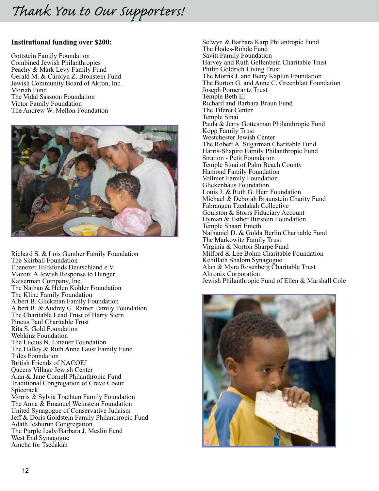#### **Institutional funding over \$200:**

Gottstein Family Foundation Combined Jewish Philanthropies Peachy & Mark Levy Family Fund Gerald M. & Carolyn Z. Bronstein Fund Jewish Community Board of Akron, Inc. Moriah Fund The Vidal Sassoon Foundation Victor Family Foundation The Andrew W. Mellon Foundation



Richard S. & Lois Gunther Family Foundation The Skirball Foundation Ebenezer Hilfsfonds Deutschland e.V. Mazon: A Jewish Response to Hunger Kaiserman Company, Inc. The Nathan & Helen Kohler Foundation The Kline Family Foundation Albert B. Glickman Family Foundation Albert B. & Audrey G. Ratner Family Foundation The Charitable Lead Trust of Harry Stern Pincus Paul Charitable Trust Rita S. Gold Foundation Webkinz Foundation The Lucius N. Littauer Foundation The Halley & Ruth Anne Faust Family Fund Tides Foundation British Friends of NACOEJ Queens Village Jewish Center Alan & Jane Cornell Philanthropic Fund Traditional Congregation of Creve Coeur Spicerack Morris & Sylvia Trachten Family Foundation The Anna & Emanuel Weinstein Foundation United Synagogue of Conservative Judaism Jeff & Doris Goldstein Family Philanthropic Fund Adath Jeshurun Congregation The Purple Lady/Barbara J. Meslin Fund West End Synagogue Amcha for Tsedakah

Selwyn & Barbara Karp Philantropic Fund The Hodes-Rohde Fund Savitt Family Foundation Harvey and Ruth Gelfenbein Charitable Trust Philip Goldrich Living Trust The Morris J. and Betty Kaplun Foundation The Burton G. and Anne C. Greenblatt Foundation Joseph Pomerantz Trust Temple Beth El Richard and Barbara Braun Fund The Tiferet Center Temple Sinai Paula & Jerry Gottesman Philanthropic Fund Kopp Family Trust Westchester Jewish Center The Robert A. Sugarman Charitable Fund Harris-Shapiro Family Philanthropic Fund Stratton - Petit Foundation Temple Sinai of Palm Beach County Hamond Family Foundation Vollmer Family Foundation Glickenhaus Foundation Louis J. & Ruth G. Herr Foundation Michael & Deborah Braunstein Charity Fund Fabrangen Tzedakah Collective Goulston & Storrs Fiduciary Account Hyman & Esther Burstein Foundation Temple Shaari Emeth Nathaniel D. & Golda Berlin Charitable Fund The Markowitz Family Trust Virginia & Norton Sharpe Fund Milford & Lee Bohm Charitable Foundation Kehillath Shalom Synagogue Alan & Myra Rosenberg Charitable Trust Altronix Corporation Jewish Philanthropic Fund of Ellen & Marshall Cole

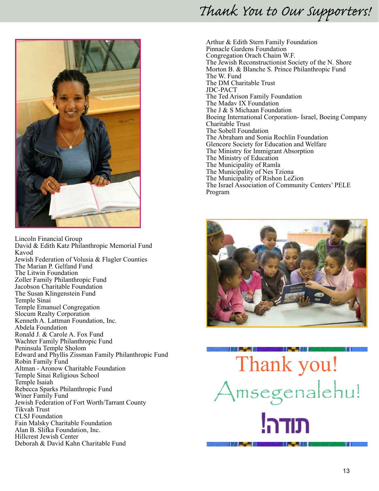

Lincoln Financial Group David & Edith Katz Philanthropic Memorial Fund Kavod Jewish Federation of Volusia & Flagler Counties The Marian P. Gelfand Fund The Litwin Foundation<br>Zoller Family Philanthropic Fund Jacobson Charitable Foundation The Susan Klingenstein Fund Temple Sinai Temple Emanuel Congregation Slocum Realty Corporation<br>Kenneth A. Lattman Foundation, Inc. Abdela Foundation<br>Ronald J. & Carole A. Fox Fund<br>Wachter Family Philanthropic Fund<br>Peninsula Temple Sholom Edward and Phyllis Zissman Family Philanthropic Fund Robin Family Fund Altman - Aronow Charitable Foundation Temple Sinai Religious School Temple Isaiah<br>Rebecca Sparks Philanthropic Fund Winer Family Fund<br>Jewish Federation of Fort Worth/Tarrant County Tikvah Trust CLSJ Foundation<br>Fain Malsky Charitable Foundation Alan B. Slifka Foundation, Inc.<br>Hillcrest Jewish Center Deborah & David Kahn Charitable Fund

Arthur & Edith Stern Family Foundation Pinnacle Gardens Foundation Congregation Orach Chaim W.F. The Jewish Reconstructionist Society of the N. Shore Morton B. & Blanche S. Prince Philanthropic Fund The W. Fund The DM Charitable Trust JDC-PACT The Ted Arison Family Foundation The Madav IX Foundation The J & S Michaan Foundation Boeing International Corporation- Israel, Boeing Company Charitable Trust The Sobell Foundation The Abraham and Sonia Rochlin Foundation Glencore Society for Education and Welfare The Ministry for Immigrant Absorption The Ministry of Education The Municipality of Ramla The Municipality of Nes Tziona The Municipality of Rishon LeZion The Israel Association of Community Centers' PELE Program



Thank you! Amsegenalehu! **THE R. P. LEWIS CO., LANSING MICH.**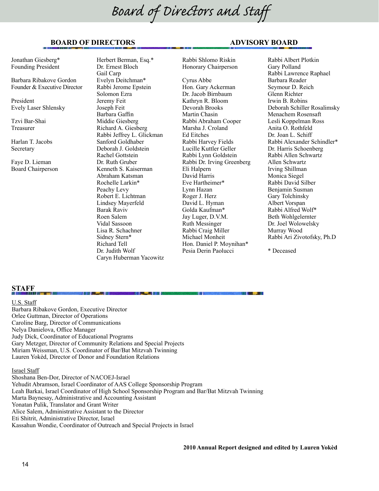# *Board of Directors and Staff*

#### **BOARD OF DIRECTORS ADVISORY BOARD**

Jonathan Giesberg\* Founding President

Barbara Ribakove Gordon Founder & Executive Director

President Evely Laser Shlensky

Tzvi Bar-Shai Treasurer

Harlan T. Jacobs Secretary

Faye D. Lieman Board Chairperson Herbert Berman, Esq.\* Dr. Ernest Bloch Gail Carp Evelyn Deitchman\* Rabbi Jerome Epstein Solomon Ezra Jeremy Feit Joseph Feit Barbara Gaffin Middie Giesberg Richard A. Giesberg Rabbi Jeffrey L. Glickman Sanford Goldhaber Deborah J. Goldstein Rachel Gottstein Dr. Ruth Gruber Kenneth S. Kaiserman Abraham Katsman Rochelle Larkin\* Peachy Levy Robert E. Lichtman Lindsey Mayerfeld Barak Raviv Roen Salem Vidal Sassoon Lisa R. Schachner Sidney Stern\* Richard Tell Dr. Judith Wolf Caryn Huberman Yacowitz

Rabbi Shlomo Riskin Honorary Chairperson Cyrus Abbe Hon. Gary Ackerman Dr. Jacob Birnbaum Kathryn R. Bloom Devorah Brooks Martin Chasin Rabbi Abraham Cooper Marsha J. Croland Ed Eitches Rabbi Harvey Fields Lucille Kuttler Geller Rabbi Lynn Goldstein Rabbi Dr. Irving Greenberg Eli Halpern David Harris Eve Hartheimer\* Lynn Hazan Roger J. Herz David L. Hyman Golda Kaufman\* Jay Luger, D.V.M. Ruth Messinger Rabbi Craig Miller Michael Monheit Hon. Daniel P. Moynihan\* Pesia Derin Paolucci

Rabbi Albert Plotkin Gary Polland Rabbi Lawrence Raphael Barbara Reader Seymour D. Reich Glenn Richter Irwin B. Robins Deborah Schiller Rosalimsky Menachem Rosensaft Lesli Koppelman Ross Anita O. Rothfeld Dr. Joan L. Schiff Rabbi Alexander Schindler\* Dr. Harris Schoenberg Rabbi Allen Schwartz Allen Schwartz Irving Shillman Monica Siegel Rabbi David Silber Benjamin Susman Gary Tolchinsky Albert Vorspan Rabbi Alfred Wolf\* Beth Wohlgelernter Dr. Joel Wolowelsky Murray Wood Rabbi Ari Zivotofsky, Ph.D

\* Deceased

#### **STAFF**

U.S. Staff Barbara Ribakove Gordon, Executive Director Orlee Guttman, Director of Operations Caroline Barg, Director of Communications Nelya Danielova, Office Manager Judy Dick, Coordinator of Educational Programs Gary Metzger, Director of Community Relations and Special Projects Miriam Weissman, U.S. Coordinator of Bar/Bat Mitzvah Twinning Lauren Yokèd, Director of Donor and Foundation Relations

Israel Staff

Shoshana Ben-Dor, Director of NACOEJ-Israel Yehudit Abramson, Israel Coordinator of AAS College Sponsorship Program Leah Barkai, Israel Coordinator of High School Sponsorship Program and Bar/Bat Mitzvah Twinning Marta Baynesay, Administrative and Accounting Assistant Yonatan Pulik, Translator and Grant Writer Alice Salem, Administrative Assistant to the Director Eti Shitrit, Administrative Director, Israel Kassahun Wondie, Coordinator of Outreach and Special Projects in Israel